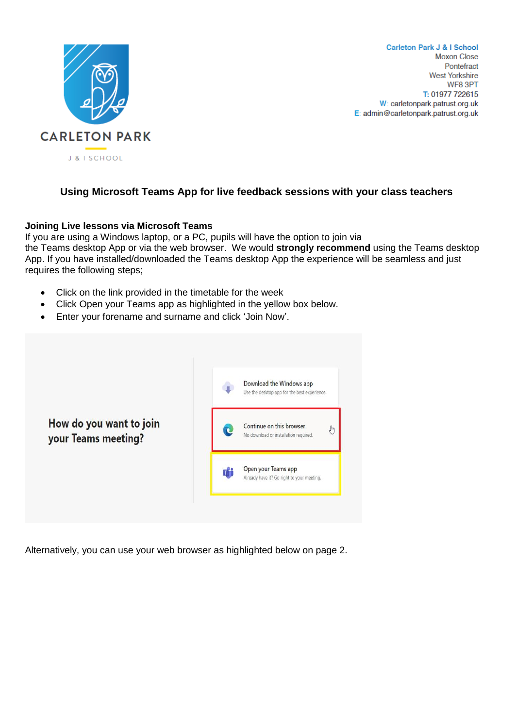

**Carleton Park J & I School Moxon Close** Pontefract **West Yorkshire** WF8 3PT T: 01977 722615 W: carletonpark.patrust.org.uk E: admin@carletonpark.patrust.org.uk

# **Using Microsoft Teams App for live feedback sessions with your class teachers**

#### **Joining Live lessons via Microsoft Teams**

If you are using a Windows laptop, or a PC, pupils will have the option to join via the Teams desktop App or via the web browser. We would **strongly recommend** using the Teams desktop App. If you have installed/downloaded the Teams desktop App the experience will be seamless and just requires the following steps;

- Click on the link provided in the timetable for the week
- Click Open your Teams app as highlighted in the yellow box below.
- Enter your forename and surname and click 'Join Now'.



Alternatively, you can use your web browser as highlighted below on page 2.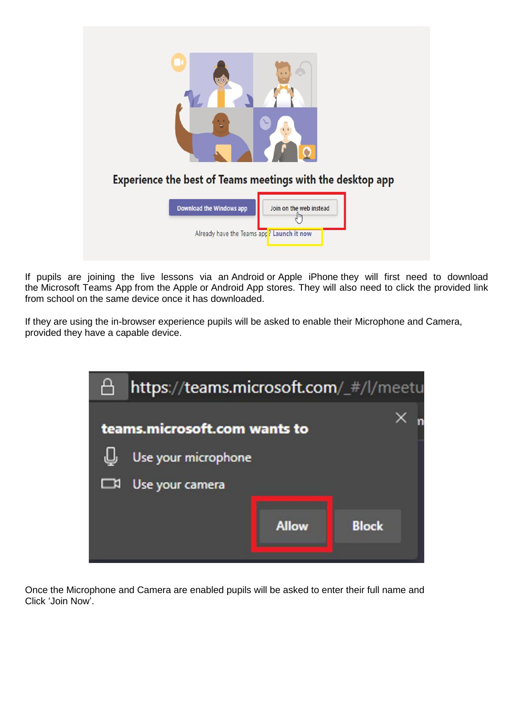

If pupils are joining the live lessons via an Android or Apple iPhone they will first need to download the Microsoft Teams App from the Apple or Android App stores. They will also need to click the provided link from school on the same device once it has downloaded.

If they are using the in-browser experience pupils will be asked to enable their Microphone and Camera, provided they have a capable device.



Once the Microphone and Camera are enabled pupils will be asked to enter their full name and Click 'Join Now'.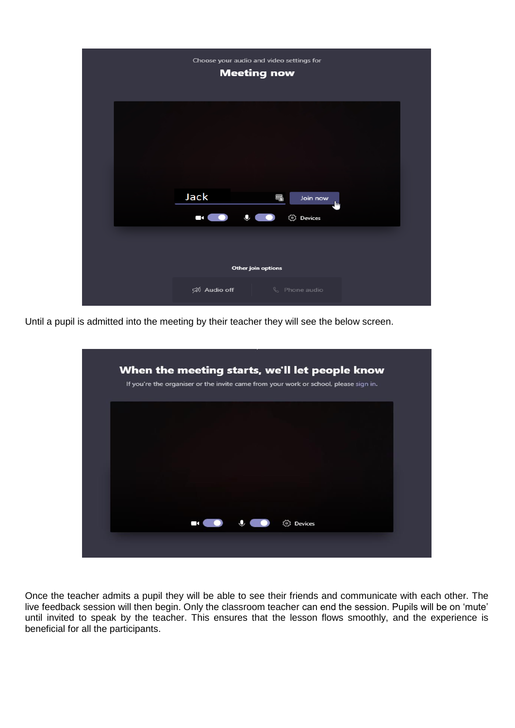

Until a pupil is admitted into the meeting by their teacher they will see the below screen.



Once the teacher admits a pupil they will be able to see their friends and communicate with each other. The live feedback session will then begin. Only the classroom teacher can end the session. Pupils will be on 'mute' until invited to speak by the teacher. This ensures that the lesson flows smoothly, and the experience is beneficial for all the participants.